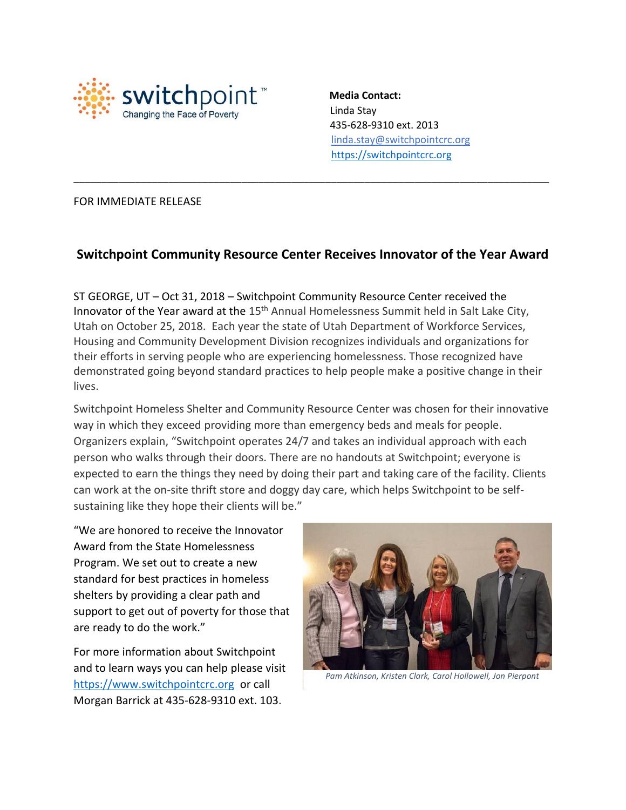

 **Media Contact:** Linda Stay 435-628-9310 ext. 2013 linda.stay@switchpointcrc.org [https://switchpointcrc.org](https://switchpointcrc.org/)

## FOR IMMEDIATE RELEASE

## **Switchpoint Community Resource Center Receives Innovator of the Year Award**

\_\_\_\_\_\_\_\_\_\_\_\_\_\_\_\_\_\_\_\_\_\_\_\_\_\_\_\_\_\_\_\_\_\_\_\_\_\_\_\_\_\_\_\_\_\_\_\_\_\_\_\_\_\_\_\_\_\_\_\_\_\_\_\_\_\_\_\_\_\_\_\_\_\_\_\_\_\_\_\_\_\_\_\_\_

ST GEORGE, UT – Oct 31, 2018 – Switchpoint Community Resource Center received the Innovator of the Year award at the 15<sup>th</sup> Annual Homelessness Summit held in Salt Lake City, Utah on October 25, 2018. Each year the state of Utah Department of Workforce Services, Housing and Community Development Division recognizes individuals and organizations for their efforts in serving people who are experiencing homelessness. Those recognized have demonstrated going beyond standard practices to help people make a positive change in their lives.

Switchpoint Homeless Shelter and Community Resource Center was chosen for their innovative way in which they exceed providing more than emergency beds and meals for people. Organizers explain, "Switchpoint operates 24/7 and takes an individual approach with each person who walks through their doors. There are no handouts at Switchpoint; everyone is expected to earn the things they need by doing their part and taking care of the facility. Clients can work at the on-site thrift store and doggy day care, which helps Switchpoint to be selfsustaining like they hope their clients will be."

"We are honored to receive the Innovator Award from the State Homelessness Program. We set out to create a new standard for best practices in homeless shelters by providing a clear path and support to get out of poverty for those that are ready to do the work."

For more information about Switchpoint and to learn ways you can help please visit [https://www.switchpointcrc.org](https://www.switchpointcrc.org/) or call Morgan Barrick at 435-628-9310 ext. 103.



 *Pam Atkinson, Kristen Clark, Carol Hollowell, Jon Pierpont*